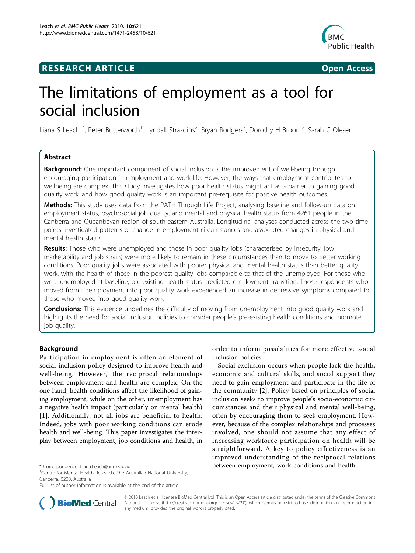# **RESEARCH ARTICLE Example 2008 CONSIDERING ACCESS**



# The limitations of employment as a tool for social inclusion

Liana S Leach<sup>1\*</sup>, Peter Butterworth<sup>1</sup>, Lyndall Strazdins<sup>2</sup>, Bryan Rodgers<sup>3</sup>, Dorothy H Broom<sup>2</sup>, Sarah C Olesen<sup>1</sup>

# Abstract

**Background:** One important component of social inclusion is the improvement of well-being through encouraging participation in employment and work life. However, the ways that employment contributes to wellbeing are complex. This study investigates how poor health status might act as a barrier to gaining good quality work, and how good quality work is an important pre-requisite for positive health outcomes.

Methods: This study uses data from the PATH Through Life Project, analysing baseline and follow-up data on employment status, psychosocial job quality, and mental and physical health status from 4261 people in the Canberra and Queanbeyan region of south-eastern Australia. Longitudinal analyses conducted across the two time points investigated patterns of change in employment circumstances and associated changes in physical and mental health status.

**Results:** Those who were unemployed and those in poor quality jobs (characterised by insecurity, low marketability and job strain) were more likely to remain in these circumstances than to move to better working conditions. Poor quality jobs were associated with poorer physical and mental health status than better quality work, with the health of those in the poorest quality jobs comparable to that of the unemployed. For those who were unemployed at baseline, pre-existing health status predicted employment transition. Those respondents who moved from unemployment into poor quality work experienced an increase in depressive symptoms compared to those who moved into good quality work.

**Conclusions:** This evidence underlines the difficulty of moving from unemployment into good quality work and highlights the need for social inclusion policies to consider people's pre-existing health conditions and promote job quality.

# Background

Participation in employment is often an element of social inclusion policy designed to improve health and well-being. However, the reciprocal relationships between employment and health are complex. On the one hand, health conditions affect the likelihood of gaining employment, while on the other, unemployment has a negative health impact (particularly on mental health) [[1](#page-11-0)]. Additionally, not all jobs are beneficial to health. Indeed, jobs with poor working conditions can erode health and well-being. This paper investigates the interplay between employment, job conditions and health, in

order to inform possibilities for more effective social inclusion policies.

Social exclusion occurs when people lack the health, economic and cultural skills, and social support they need to gain employment and participate in the life of the community [[2\]](#page-11-0). Policy based on principles of social inclusion seeks to improve people's socio-economic circumstances and their physical and mental well-being, often by encouraging them to seek employment. However, because of the complex relationships and processes involved, one should not assume that any effect of increasing workforce participation on health will be straightforward. A key to policy effectiveness is an improved understanding of the reciprocal relations \* Correspondence: [Liana.Leach@anu.edu.au](mailto:Liana.Leach@anu.edu.au) between employment, work conditions and health.



© 2010 Leach et al; licensee BioMed Central Ltd. This is an Open Access article distributed under the terms of the Creative Commons Attribution License [\(http://creativecommons.org/licenses/by/2.0](http://creativecommons.org/licenses/by/2.0)), which permits unrestricted use, distribution, and reproduction in any medium, provided the original work is properly cited.

<sup>&</sup>lt;sup>1</sup> Centre for Mental Health Research, The Australian National University, Canberra, 0200, Australia

Full list of author information is available at the end of the article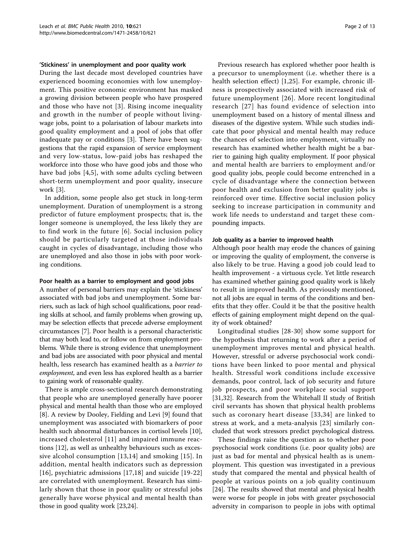#### 'Stickiness' in unemployment and poor quality work

During the last decade most developed countries have experienced booming economies with low unemployment. This positive economic environment has masked a growing division between people who have prospered and those who have not [[3\]](#page-11-0). Rising income inequality and growth in the number of people without livingwage jobs, point to a polarisation of labour markets into good quality employment and a pool of jobs that offer inadequate pay or conditions [[3\]](#page-11-0). There have been suggestions that the rapid expansion of service employment and very low-status, low-paid jobs has reshaped the workforce into those who have good jobs and those who have bad jobs [[4,5](#page-11-0)], with some adults cycling between short-term unemployment and poor quality, insecure work [[3](#page-11-0)].

In addition, some people also get stuck in long-term unemployment. Duration of unemployment is a strong predictor of future employment prospects; that is, the longer someone is unemployed, the less likely they are to find work in the future [[6](#page-11-0)]. Social inclusion policy should be particularly targeted at those individuals caught in cycles of disadvantage, including those who are unemployed and also those in jobs with poor working conditions.

#### Poor health as a barrier to employment and good jobs

A number of personal barriers may explain the 'stickiness' associated with bad jobs and unemployment. Some barriers, such as lack of high school qualifications, poor reading skills at school, and family problems when growing up, may be selection effects that precede adverse employment circumstances [\[7](#page-11-0)]. Poor health is a personal characteristic that may both lead to, or follow on from employment problems. While there is strong evidence that unemployment and bad jobs are associated with poor physical and mental health, less research has examined health as a barrier to employment, and even less has explored health as a barrier to gaining work of reasonable quality.

There is ample cross-sectional research demonstrating that people who are unemployed generally have poorer physical and mental health than those who are employed [[8\]](#page-11-0). A review by Dooley, Fielding and Levi [\[9](#page-11-0)] found that unemployment was associated with biomarkers of poor health such abnormal disturbances in cortisol levels [\[10](#page-11-0)], increased cholesterol [[11](#page-11-0)] and impaired immune reactions [[12\]](#page-11-0), as well as unhealthy behaviours such as excessive alcohol consumption [[13](#page-11-0),[14\]](#page-11-0) and smoking [[15\]](#page-11-0). In addition, mental health indicators such as depression [[16](#page-11-0)], psychiatric admissions [\[17](#page-11-0),[18\]](#page-11-0) and suicide [\[19](#page-11-0)-[22](#page-11-0)] are correlated with unemployment. Research has similarly shown that those in poor quality or stressful jobs generally have worse physical and mental health than those in good quality work [\[23,24\]](#page-11-0).

Previous research has explored whether poor health is a precursor to unemployment (i.e. whether there is a health selection effect) [\[1](#page-11-0),[25\]](#page-11-0). For example, chronic illness is prospectively associated with increased risk of future unemployment [[26](#page-11-0)]. More recent longitudinal research [[27](#page-11-0)] has found evidence of selection into unemployment based on a history of mental illness and diseases of the digestive system. While such studies indicate that poor physical and mental health may reduce the chances of selection into employment, virtually no research has examined whether health might be a barrier to gaining high quality employment. If poor physical and mental health are barriers to employment and/or good quality jobs, people could become entrenched in a cycle of disadvantage where the connection between poor health and exclusion from better quality jobs is reinforced over time. Effective social inclusion policy seeking to increase participation in community and work life needs to understand and target these compounding impacts.

#### Job quality as a barrier to improved health

Although poor health may erode the chances of gaining or improving the quality of employment, the converse is also likely to be true. Having a good job could lead to health improvement - a virtuous cycle. Yet little research has examined whether gaining good quality work is likely to result in improved health. As previously mentioned, not all jobs are equal in terms of the conditions and benefits that they offer. Could it be that the positive health effects of gaining employment might depend on the quality of work obtained?

Longitudinal studies [\[28-30\]](#page-11-0) show some support for the hypothesis that returning to work after a period of unemployment improves mental and physical health. However, stressful or adverse psychosocial work conditions have been linked to poor mental and physical health. Stressful work conditions include excessive demands, poor control, lack of job security and future job prospects, and poor workplace social support [[31,32](#page-12-0)]. Research from the Whitehall II study of British civil servants has shown that physical health problems such as coronary heart disease [[33,34\]](#page-12-0) are linked to stress at work, and a meta-analysis [\[23\]](#page-11-0) similarly concluded that work stressors predict psychological distress.

These findings raise the question as to whether poor psychosocial work conditions (i.e. poor quality jobs) are just as bad for mental and physical health as is unemployment. This question was investigated in a previous study that compared the mental and physical health of people at various points on a job quality continuum [[24\]](#page-11-0). The results showed that mental and physical health were worse for people in jobs with greater psychosocial adversity in comparison to people in jobs with optimal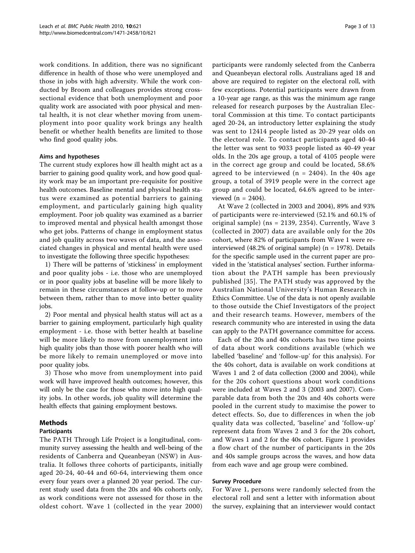work conditions. In addition, there was no significant difference in health of those who were unemployed and those in jobs with high adversity. While the work conducted by Broom and colleagues provides strong crosssectional evidence that both unemployment and poor quality work are associated with poor physical and mental health, it is not clear whether moving from unemployment into poor quality work brings any health benefit or whether health benefits are limited to those who find good quality jobs.

#### Aims and hypotheses

The current study explores how ill health might act as a barrier to gaining good quality work, and how good quality work may be an important pre-requisite for positive health outcomes. Baseline mental and physical health status were examined as potential barriers to gaining employment, and particularly gaining high quality employment. Poor job quality was examined as a barrier to improved mental and physical health amongst those who get jobs. Patterns of change in employment status and job quality across two waves of data, and the associated changes in physical and mental health were used to investigate the following three specific hypotheses:

1) There will be patterns of 'stickiness' in employment and poor quality jobs - i.e. those who are unemployed or in poor quality jobs at baseline will be more likely to remain in these circumstances at follow-up or to move between them, rather than to move into better quality jobs.

2) Poor mental and physical health status will act as a barrier to gaining employment, particularly high quality employment - i.e. those with better health at baseline will be more likely to move from unemployment into high quality jobs than those with poorer health who will be more likely to remain unemployed or move into poor quality jobs.

3) Those who move from unemployment into paid work will have improved health outcomes; however, this will only be the case for those who move into high quality jobs. In other words, job quality will determine the health effects that gaining employment bestows.

# Methods

#### Participants

The PATH Through Life Project is a longitudinal, community survey assessing the health and well-being of the residents of Canberra and Queanbeyan (NSW) in Australia. It follows three cohorts of participants, initially aged 20-24, 40-44 and 60-64, interviewing them once every four years over a planned 20 year period. The current study used data from the 20s and 40s cohorts only, as work conditions were not assessed for those in the oldest cohort. Wave 1 (collected in the year 2000) participants were randomly selected from the Canberra and Queanbeyan electoral rolls. Australians aged 18 and above are required to register on the electoral roll, with few exceptions. Potential participants were drawn from a 10-year age range, as this was the minimum age range released for research purposes by the Australian Electoral Commission at this time. To contact participants aged 20-24, an introductory letter explaining the study was sent to 12414 people listed as 20-29 year olds on the electoral role. To contact participants aged 40-44 the letter was sent to 9033 people listed as 40-49 year olds. In the 20s age group, a total of 4105 people were in the correct age group and could be located, 58.6% agreed to be interviewed ( $n = 2404$ ). In the 40s age group, a total of 3919 people were in the correct age group and could be located, 64.6% agreed to be interviewed (n = 2404).

At Wave 2 (collected in 2003 and 2004), 89% and 93% of participants were re-interviewed (52.1% and 60.1% of original sample) (ns = 2139, 2354). Currently, Wave 3 (collected in 2007) data are available only for the 20s cohort, where 82% of participants from Wave 1 were reinterviewed (48.2% of original sample) ( $n = 1978$ ). Details for the specific sample used in the current paper are provided in the 'statistical analyses' section. Further information about the PATH sample has been previously published [[35\]](#page-12-0). The PATH study was approved by the Australian National University's Human Research in Ethics Committee. Use of the data is not openly available to those outside the Chief Investigators of the project and their research teams. However, members of the research community who are interested in using the data can apply to the PATH governance committee for access.

Each of the 20s and 40s cohorts has two time points of data about work conditions available (which we labelled 'baseline' and 'follow-up' for this analysis). For the 40s cohort, data is available on work conditions at Waves 1 and 2 of data collection (2000 and 2004), while for the 20s cohort questions about work conditions were included at Waves 2 and 3 (2003 and 2007). Comparable data from both the 20s and 40s cohorts were pooled in the current study to maximise the power to detect effects. So, due to differences in when the job quality data was collected, 'baseline' and 'follow-up' represent data from Waves 2 and 3 for the 20s cohort, and Waves 1 and 2 for the 40s cohort. Figure [1](#page-3-0) provides a flow chart of the number of participants in the 20s and 40s sample groups across the waves, and how data from each wave and age group were combined.

#### Survey Procedure

For Wave 1, persons were randomly selected from the electoral roll and sent a letter with information about the survey, explaining that an interviewer would contact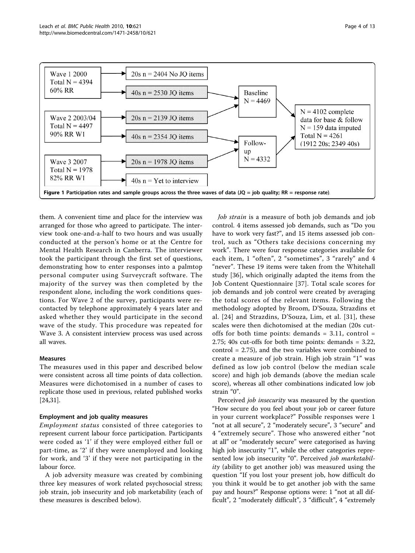<span id="page-3-0"></span>

them. A convenient time and place for the interview was arranged for those who agreed to participate. The interview took one-and-a-half to two hours and was usually conducted at the person's home or at the Centre for Mental Health Research in Canberra. The interviewer took the participant through the first set of questions, demonstrating how to enter responses into a palmtop personal computer using Surveycraft software. The majority of the survey was then completed by the respondent alone, including the work conditions questions. For Wave 2 of the survey, participants were recontacted by telephone approximately 4 years later and asked whether they would participate in the second wave of the study. This procedure was repeated for Wave 3. A consistent interview process was used across all waves.

# Measures

The measures used in this paper and described below were consistent across all time points of data collection. Measures were dichotomised in a number of cases to replicate those used in previous, related published works [[24,](#page-11-0)[31\]](#page-12-0).

# Employment and job quality measures

Employment status consisted of three categories to represent current labour force participation. Participants were coded as '1' if they were employed either full or part-time, as '2' if they were unemployed and looking for work, and '3' if they were not participating in the labour force.

A job adversity measure was created by combining three key measures of work related psychosocial stress; job strain, job insecurity and job marketability (each of these measures is described below).

Job strain is a measure of both job demands and job control. 4 items assessed job demands, such as "Do you have to work very fast?", and 15 items assessed job control, such as "Others take decisions concerning my work". There were four response categories available for each item, 1 "often", 2 "sometimes", 3 "rarely" and 4 "never". These 19 items were taken from the Whitehall study [[36\]](#page-12-0), which originally adapted the items from the Job Content Questionnaire [\[37](#page-12-0)]. Total scale scores for job demands and job control were created by averaging the total scores of the relevant items. Following the methodology adopted by Broom, D'Souza, Strazdins et al. [[24\]](#page-11-0) and Strazdins, D'Souza, Lim, et al. [[31](#page-12-0)], these scales were then dichotomised at the median (20s cutoffs for both time points: demands  $= 3.11$ , control  $=$ 2.75; 40s cut-offs for both time points: demands = 3.22, control = 2.75), and the two variables were combined to create a measure of job strain. High job strain "1" was defined as low job control (below the median scale score) and high job demands (above the median scale score), whereas all other combinations indicated low job strain "0".

Perceived job insecurity was measured by the question "How secure do you feel about your job or career future in your current workplace?" Possible responses were 1 "not at all secure", 2 "moderately secure", 3 "secure" and 4 "extremely secure". Those who answered either "not at all" or "moderately secure" were categorised as having high job insecurity "1", while the other categories represented low job insecurity "0". Perceived job marketability (ability to get another job) was measured using the question "If you lost your present job, how difficult do you think it would be to get another job with the same pay and hours?" Response options were: 1 "not at all difficult", 2 "moderately difficult", 3 "difficult", 4 "extremely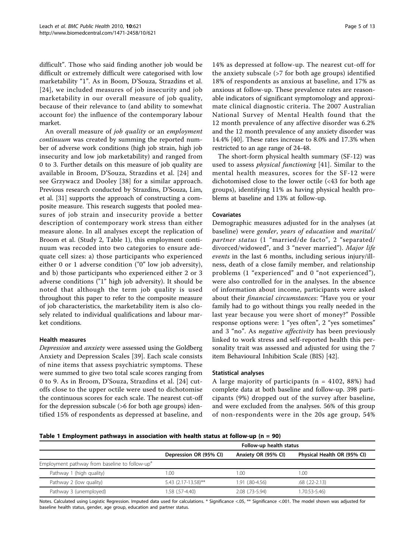<span id="page-4-0"></span>difficult". Those who said finding another job would be difficult or extremely difficult were categorised with low marketability "1". As in Boom, D'Souza, Strazdins et al. [[24\]](#page-11-0), we included measures of job insecurity and job marketability in our overall measure of job quality, because of their relevance to (and ability to somewhat account for) the influence of the contemporary labour market.

An overall measure of job quality or an employment continuum was created by summing the reported number of adverse work conditions (high job strain, high job insecurity and low job marketability) and ranged from 0 to 3. Further details on this measure of job quality are available in Broom, D'Souza, Strazdins et al. [[24](#page-11-0)] and see Grzywacz and Dooley [[38\]](#page-12-0) for a similar approach. Previous research conducted by Strazdins, D'Souza, Lim, et al. [\[31](#page-12-0)] supports the approach of constructing a composite measure. This research suggests that pooled measures of job strain and insecurity provide a better description of contemporary work stress than either measure alone. In all analyses except the replication of Broom et al. (Study 2, Table 1), this employment continuum was recoded into two categories to ensure adequate cell sizes: a) those participants who experienced either 0 or 1 adverse condition ("0" low job adversity), and b) those participants who experienced either 2 or 3 adverse conditions ("1" high job adversity). It should be noted that although the term job quality is used throughout this paper to refer to the composite measure of job characteristics, the marketability item is also closely related to individual qualifications and labour market conditions.

# Health measures

Depression and anxiety were assessed using the Goldberg Anxiety and Depression Scales [\[39\]](#page-12-0). Each scale consists of nine items that assess psychiatric symptoms. These were summed to give two total scale scores ranging from 0 to 9. As in Broom, D'Souza, Strazdins et al. [[24](#page-11-0)] cutoffs close to the upper octile were used to dichotomise the continuous scores for each scale. The nearest cut-off for the depression subscale (>6 for both age groups) identified 15% of respondents as depressed at baseline, and

14% as depressed at follow-up. The nearest cut-off for the anxiety subscale (>7 for both age groups) identified 18% of respondents as anxious at baseline, and 17% as anxious at follow-up. These prevalence rates are reasonable indicators of significant symptomology and approximate clinical diagnostic criteria. The 2007 Australian National Survey of Mental Health found that the 12 month prevalence of any affective disorder was 6.2% and the 12 month prevalence of any anxiety disorder was 14.4% [[40\]](#page-12-0). These rates increase to 8.0% and 17.3% when restricted to an age range of 24-48.

The short-form physical health summary (SF-12) was used to assess physical functioning [[41](#page-12-0)]. Similar to the mental health measures, scores for the SF-12 were dichotomised close to the lower octile (<43 for both age groups), identifying 11% as having physical health problems at baseline and 13% at follow-up.

#### Covariates

Demographic measures adjusted for in the analyses (at baseline) were gender, years of education and marital/ partner status (1 "married/de facto", 2 "separated/ divorced/widowed", and 3 "never married"). Major life events in the last 6 months, including serious injury/illness, death of a close family member, and relationship problems (1 "experienced" and 0 "not experienced"), were also controlled for in the analyses. In the absence of information about income, participants were asked about their *financial circumstances*: "Have you or your family had to go without things you really needed in the last year because you were short of money?" Possible response options were: 1 "yes often", 2 "yes sometimes" and 3 "no". As negative affectivity has been previously linked to work stress and self-reported health this personality trait was assessed and adjusted for using the 7 item Behavioural Inhibition Scale (BIS) [\[42](#page-12-0)].

#### Statistical analyses

A large majority of participants ( $n = 4102, 88\%$ ) had complete data at both baseline and follow-up. 398 participants (9%) dropped out of the survey after baseline, and were excluded from the analyses. 56% of this group of non-respondents were in the 20s age group, 54%

Table 1 Employment pathways in association with health status at follow-up ( $n = 90$ )

|                                                            | Follow-up health status |                     |                             |  |
|------------------------------------------------------------|-------------------------|---------------------|-----------------------------|--|
|                                                            | Depression OR (95% CI)  | Anxiety OR (95% CI) | Physical Health OR (95% CI) |  |
| Employment pathway from baseline to follow-up <sup>a</sup> |                         |                     |                             |  |
| Pathway 1 (high quality)                                   | .00                     | L.OO                | 1.00                        |  |
| Pathway 2 (low quality)                                    | 5.43 (2.17-13.58)**     | 1.91 (.80-4.56)     | $.68$ $(.22-2.13)$          |  |
| Pathway 3 (unemployed)                                     | 1.58 (.57-4.40)         | 2.08 (.73-5.94)     | 1.70.53-5.46)               |  |

Notes. Calculated using Logistic Regression. Imputed data used for calculations. \* Significance <.05, \*\* Significance <.001. The model shown was adjusted for baseline health status, gender, age group, education and partner status.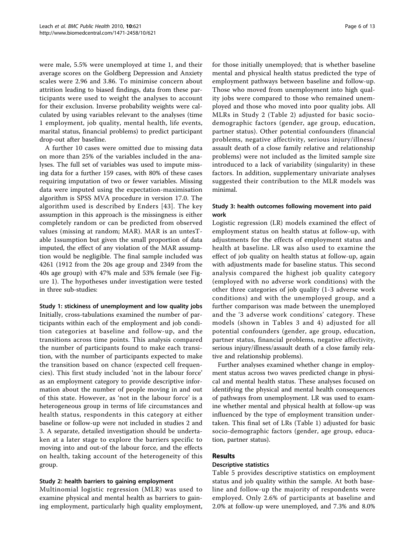were male, 5.5% were unemployed at time 1, and their average scores on the Goldberg Depression and Anxiety scales were 2.96 and 3.86. To minimise concern about attrition leading to biased findings, data from these participants were used to weight the analyses to account for their exclusion. Inverse probability weights were calculated by using variables relevant to the analyses (time 1 employment, job quality, mental health, life events, marital status, financial problems) to predict participant drop-out after baseline.

A further 10 cases were omitted due to missing data on more than 25% of the variables included in the analyses. The full set of variables was used to impute missing data for a further 159 cases, with 80% of these cases requiring imputation of two or fewer variables. Missing data were imputed using the expectation-maximisation algorithm is SPSS MVA procedure in version 17.0. The algorithm used is described by Enders [[43](#page-12-0)]. The key assumption in this approach is the missingness is either completely random or can be predicted from observed values (missing at random; MAR). MAR is an untesTable [1s](#page-4-0)sumption but given the small proportion of data imputed, the effect of any violation of the MAR assumption would be negligible. The final sample included was 4261 (1912 from the 20s age group and 2349 from the 40s age group) with 47% male and 53% female (see Figure [1\)](#page-3-0). The hypotheses under investigation were tested in three sub-studies:

Study 1: stickiness of unemployment and low quality jobs Initially, cross-tabulations examined the number of participants within each of the employment and job condition categories at baseline and follow-up, and the transitions across time points. This analysis compared the number of participants found to make each transition, with the number of participants expected to make the transition based on chance (expected cell frequencies). This first study included 'not in the labour force' as an employment category to provide descriptive information about the number of people moving in and out of this state. However, as 'not in the labour force' is a heterogeneous group in terms of life circumstances and health status, respondents in this category at either baseline or follow-up were not included in studies 2 and 3. A separate, detailed investigation should be undertaken at a later stage to explore the barriers specific to moving into and out-of the labour force, and the effects on health, taking account of the heterogeneity of this group.

# Study 2: health barriers to gaining employment

Multinomial logistic regression (MLR) was used to examine physical and mental health as barriers to gaining employment, particularly high quality employment, for those initially unemployed; that is whether baseline mental and physical health status predicted the type of employment pathways between baseline and follow-up. Those who moved from unemployment into high quality jobs were compared to those who remained unemployed and those who moved into poor quality jobs. All MLRs in Study 2 (Table [2\)](#page-6-0) adjusted for basic sociodemographic factors (gender, age group, education, partner status). Other potential confounders (financial problems, negative affectivity, serious injury/illness/ assault death of a close family relative and relationship problems) were not included as the limited sample size introduced to a lack of variability (singularity) in these factors. In addition, supplementary univariate analyses suggested their contribution to the MLR models was minimal.

# Study 3: health outcomes following movement into paid work

Logistic regression (LR) models examined the effect of employment status on health status at follow-up, with adjustments for the effects of employment status and health at baseline. LR was also used to examine the effect of job quality on health status at follow-up, again with adjustments made for baseline status. This second analysis compared the highest job quality category (employed with no adverse work conditions) with the other three categories of job quality (1-3 adverse work conditions) and with the unemployed group, and a further comparison was made between the unemployed and the '3 adverse work conditions' category. These models (shown in Tables [3](#page-6-0) and [4\)](#page-7-0) adjusted for all potential confounders (gender, age group, education, partner status, financial problems, negative affectivity, serious injury/illness/assault death of a close family relative and relationship problems).

Further analyses examined whether change in employment status across two waves predicted change in physical and mental health status. These analyses focused on identifying the physical and mental health consequences of pathways from unemployment. LR was used to examine whether mental and physical health at follow-up was influenced by the type of employment transition undertaken. This final set of LRs (Table [1\)](#page-4-0) adjusted for basic socio-demographic factors (gender, age group, education, partner status).

#### Results

#### Descriptive statistics

Table [5](#page-7-0) provides descriptive statistics on employment status and job quality within the sample. At both baseline and follow-up the majority of respondents were employed. Only 2.6% of participants at baseline and 2.0% at follow-up were unemployed, and 7.3% and 8.0%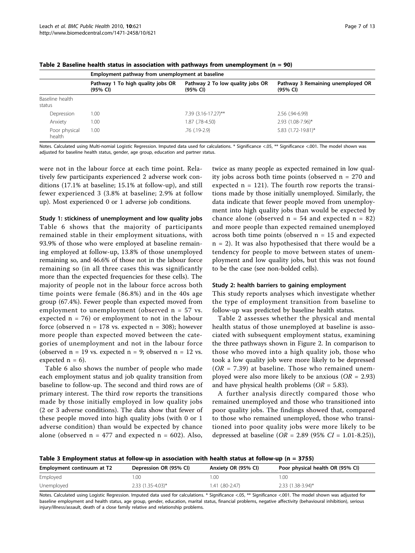|                           | Employment pathway from unemployment at baseline |                                              |                                               |  |
|---------------------------|--------------------------------------------------|----------------------------------------------|-----------------------------------------------|--|
|                           | Pathway 1 To high quality jobs OR<br>(95% CI)    | Pathway 2 To low quality jobs OR<br>(95% CI) | Pathway 3 Remaining unemployed OR<br>(95% CI) |  |
| Baseline health<br>status |                                                  |                                              |                                               |  |
| Depression                | 1.00                                             | 7.39 (3.16-17.27)**                          | 2.56 (.94-6.99)                               |  |
| Anxiety                   | 1.00                                             | 1.87 (.78-4.50)                              | 2.93 (1.08-7.96)*                             |  |
| Poor physical<br>health   | 1.00                                             | $.76$ $(.19-2.9)$                            | 5.83 (1.72-19.81)*                            |  |

<span id="page-6-0"></span>Table 2 Baseline health status in association with pathways from unemployment  $(n = 90)$ 

Notes. Calculated using Multi-nomial Logistic Regression. Imputed data used for calculations. \* Significance <.05, \*\* Significance <.001. The model shown was adjusted for baseline health status, gender, age group, education and partner status.

were not in the labour force at each time point. Relatively few participants experienced 2 adverse work conditions (17.1% at baseline; 15.1% at follow-up), and still fewer experienced 3 (3.8% at baseline; 2.9% at follow up). Most experienced 0 or 1 adverse job conditions.

Study 1: stickiness of unemployment and low quality jobs Table [6](#page-8-0) shows that the majority of participants remained stable in their employment situations, with 93.9% of those who were employed at baseline remaining employed at follow-up, 13.8% of those unemployed remaining so, and 46.6% of those not in the labour force remaining so (in all three cases this was significantly more than the expected frequencies for these cells). The majority of people not in the labour force across both time points were female (86.8%) and in the 40s age group (67.4%). Fewer people than expected moved from employment to unemployment (observed n = 57 vs. expected  $n = 76$  or employment to not in the labour force (observed  $n = 178$  vs. expected  $n = 308$ ); however more people than expected moved between the categories of unemployment and not in the labour force (observed  $n = 19$  vs. expected  $n = 9$ ; observed  $n = 12$  vs. expected  $n = 6$ ).

Table [6](#page-8-0) also shows the number of people who made each employment status and job quality transition from baseline to follow-up. The second and third rows are of primary interest. The third row reports the transitions made by those initially employed in low quality jobs (2 or 3 adverse conditions). The data show that fewer of these people moved into high quality jobs (with 0 or 1 adverse condition) than would be expected by chance alone (observed  $n = 477$  and expected  $n = 602$ ). Also,

twice as many people as expected remained in low quality jobs across both time points (observed  $n = 270$  and expected  $n = 121$ ). The fourth row reports the transitions made by those initially unemployed. Similarly, the data indicate that fewer people moved from unemployment into high quality jobs than would be expected by chance alone (observed  $n = 54$  and expected  $n = 82$ ) and more people than expected remained unemployed across both time points (observed  $n = 15$  and expected  $n = 2$ ). It was also hypothesised that there would be a tendency for people to move between states of unemployment and low quality jobs, but this was not found to be the case (see non-bolded cells).

#### Study 2: health barriers to gaining employment

This study reports analyses which investigate whether the type of employment transition from baseline to follow-up was predicted by baseline health status.

Table 2 assesses whether the physical and mental health status of those unemployed at baseline is associated with subsequent employment status, examining the three pathways shown in Figure [2](#page-8-0). In comparison to those who moved into a high quality job, those who took a low quality job were more likely to be depressed  $(OR = 7.39)$  at baseline. Those who remained unemployed were also more likely to be anxious ( $OR = 2.93$ ) and have physical health problems  $(OR = 5.83)$ .

A further analysis directly compared those who remained unemployed and those who transitioned into poor quality jobs. The findings showed that, compared to those who remained unemployed, those who transitioned into poor quality jobs were more likely to be depressed at baseline  $(OR = 2.89 (95\% CI = 1.01-8.25)),$ 

Table 3 Employment status at follow-up in association with health status at follow-up (n = 3755)

| Employment continuum at T2 | Depression OR (95% CI) | Anxiety OR (95% CI) | Poor physical health OR (95% CI) |
|----------------------------|------------------------|---------------------|----------------------------------|
| Employed                   | .00                    |                     | .00                              |
| Unemployed                 | $2.33$ (1.35-4.03)*    | 1.41 (.80-2.47)     | 2.33 (1.38-3.94)*                |

Notes. Calculated using Logistic Regression. Imputed data used for calculations. \* Significance <.05, \*\* Significance <.001. The model shown was adjusted for baseline employment and health status, age group, gender, education, marital status, financial problems, negative affectivity (behavioural inhibition), serious injury/illness/assault, death of a close family relative and relationship problems.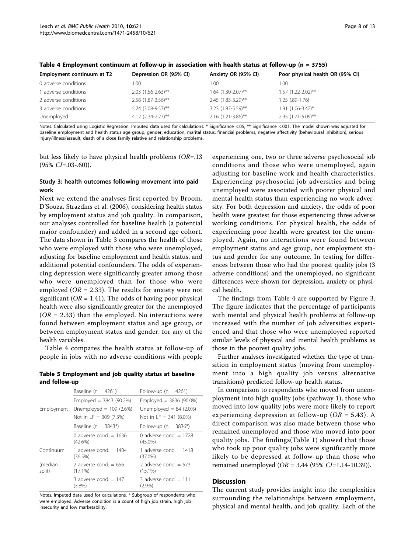<span id="page-7-0"></span>

| Employment continuum at T2 | Depression OR (95% CI)  | Anxiety OR (95% CI)     | Poor physical health OR (95% CI) |
|----------------------------|-------------------------|-------------------------|----------------------------------|
| 0 adverse conditions       | .00                     | 00.1                    | 1.00                             |
| adverse conditions         | $2.03$ (1.56-2.63)**    | $1.64$ $(1.30-2.07)$ ** | $1.57$ (1.22-2.02)**             |
| 2 adverse conditions       | 2.58 (1.87-3.56)**      | 2.45 (1.83-3.29)**      | $1.25$ (.89-1.76)                |
| 3 adverse conditions       | 5.24 (3.08-9.57)**      | $3.23$ (1.87-5.59)**    | $1.91(1.06-3.42)^{*}$            |
| Unemployed                 | 4.12 $(2.34 - 7.27)$ ** | 2.16 (1.21-3.86)**      | 2.95 (1.71-5.09)**               |

Notes. Calculated using Logistic Regression. Imputed data used for calculations. \* Significance <.05, \*\* Significance <.001. The model shown was adjusted for baseline employment and health status age group, gender, education, marital status, financial problems, negative affectivity (behavioural inhibition), serious injury/illness/assault, death of a close family relative and relationship problems.

but less likely to have physical health problems (OR=.13  $(95\%$  CI=.03-.60)).

#### Study 3: health outcomes following movement into paid work

Next we extend the analyses first reported by Broom, D'Souza, Strazdins et al. (2006), considering health status by employment status and job quality. In comparison, our analyses controlled for baseline health (a potential major confounder) and added in a second age cohort. The data shown in Table [3](#page-6-0) compares the health of those who were employed with those who were unemployed, adjusting for baseline employment and health status, and additional potential confounders. The odds of experiencing depression were significantly greater among those who were unemployed than for those who were employed ( $OR = 2.33$ ). The results for anxiety were not significant ( $OR = 1.41$ ). The odds of having poor physical health were also significantly greater for the unemployed  $(OR = 2.33)$  than the employed. No interactions were found between employment status and age group, or between employment status and gender, for any of the health variables.

Table 4 compares the health status at follow-up of people in jobs with no adverse conditions with people

|  | Table 5 Employment and job quality status at baseline |  |  |  |
|--|-------------------------------------------------------|--|--|--|
|  | and follow-up                                         |  |  |  |

|                   | Baseline ( $n = 4261$ )               | Follow-up ( $n = 4261$ )              |
|-------------------|---------------------------------------|---------------------------------------|
|                   | Employed = $3843$ (90.2%)             | Employed = $3836(90.0\%)$             |
| Employment        | Unemployed = $109$ (2.6%)             | Unemployed $= 84$ (2.0%)              |
|                   | Not in LF = $309$ (7.3%)              | Not in LF = $341$ (8.0%)              |
|                   | Baseline (n = $3843^*$ )              | Follow-up (n = $3836^*$ )             |
|                   | 0 adverse cond $=$ 1636<br>$(42.6\%)$ | 0 adverse cond $=$ 1728<br>$(45.0\%)$ |
| Continuum         | 1 adverse cond $= 1404$<br>(36.5%)    | 1 adverse cond $= 1418$<br>$(37.0\%)$ |
| (median<br>split) | 2 adverse cond. $= 656$<br>$(17.1\%)$ | 2 adverse cond $=$ 573<br>$(15.1\%)$  |
|                   | 3 adverse cond $= 147$<br>(3.8%)      | 3 adverse cond $= 111$<br>$(2.9\%)$   |

Notes. Imputed data used for calculations. \* Subgroup of respondents who were employed. Adverse condition is a count of high job strain, high job insecurity and low marketability.

experiencing one, two or three adverse psychosocial job conditions and those who were unemployed, again adjusting for baseline work and health characteristics. Experiencing psychosocial job adversities and being unemployed were associated with poorer physical and mental health status than experiencing no work adversity. For both depression and anxiety, the odds of poor health were greatest for those experiencing three adverse working conditions. For physical health, the odds of experiencing poor health were greatest for the unemployed. Again, no interactions were found between employment status and age group, nor employment status and gender for any outcome. In testing for differences between those who had the poorest quality jobs (3 adverse conditions) and the unemployed, no significant differences were shown for depression, anxiety or physical health.

The findings from Table 4 are supported by Figure [3](#page-9-0). The figure indicates that the percentage of participants with mental and physical health problems at follow-up increased with the number of job adversities experienced and that those who were unemployed reported similar levels of physical and mental health problems as those in the poorest quality jobs.

Further analyses investigated whether the type of transition in employment status (moving from unemployment into a high quality job versus alternative transitions) predicted follow-up health status.

In comparison to respondents who moved from unemployment into high quality jobs (pathway 1), those who moved into low quality jobs were more likely to report experiencing depression at follow-up ( $OR = 5.43$ ). A direct comparison was also made between those who remained unemployed and those who moved into poor quality jobs. The findings(Table [1\)](#page-4-0) showed that those who took up poor quality jobs were significantly more likely to be depressed at follow-up than those who remained unemployed ( $OR = 3.44$  (95%  $CI = 1.14 - 10.39$ )).

# **Discussion**

The current study provides insight into the complexities surrounding the relationships between employment, physical and mental health, and job quality. Each of the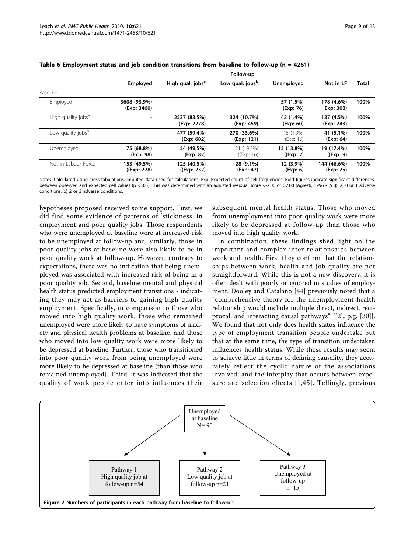|                                | Follow-up                   |                              |                             |                         |                          |              |
|--------------------------------|-----------------------------|------------------------------|-----------------------------|-------------------------|--------------------------|--------------|
|                                | Employed                    | High qual. jobs <sup>a</sup> | Low qual. jobs <sup>b</sup> | <b>Unemployed</b>       | Not in LF                | <b>Total</b> |
| Baseline                       |                             |                              |                             |                         |                          |              |
| Employed                       | 3608 (93.9%)<br>(Exp: 3460) | $\overline{\phantom{a}}$     | $\overline{\phantom{a}}$    | 57 (1.5%)<br>(Exp: 76)  | 178 (4.6%)<br>Exp: 308)  | 100%         |
| High quality jobs <sup>a</sup> | $\overline{\phantom{a}}$    | 2537 (83.5%)<br>(Exp: 2278)  | 324 (10.7%)<br>(Exp: 459)   | 42 (1.4%)<br>(Exp: 60)  | 137 (4.5%)<br>(Exp: 243) | 100%         |
| Low quality jobs <sup>b</sup>  | $\overline{\phantom{a}}$    | 477 (59.4%)<br>(Exp: 602)    | 270 (33.6%)<br>(Exp: 121)   | 15 (1.9%)<br>(Exp: 16)  | 41 (5.1%)<br>(Exp: 64)   | 100%         |
| Unemployed                     | 75 (68.8%)<br>(Exp: 98)     | 54 (49.5%)<br>(Exp: 82)      | 21 (19.3%)<br>((Exp: 16)    | 15 (13.8%)<br>((Exp: 2) | 19 (17.4%)<br>((Exp: 9)  | 100%         |
| Not in Labour Force            | 153 (49.5%)<br>((Exp: 278)  | 125 (40.5%)<br>((Exp: 232)   | 28 (9.1%)<br>(Exp: 47)      | 12 (3.9%)<br>(Exp: 6)   | 144 (46.6%)<br>(Exp: 25) | 100%         |

<span id="page-8-0"></span>

|  |  |  | Table 6 Employment status and job condition transitions from baseline to follow-up ( $n = 4261$ ) |
|--|--|--|---------------------------------------------------------------------------------------------------|
|--|--|--|---------------------------------------------------------------------------------------------------|

Notes. Calculated using cross-tabulations. Imputed data used for calculations. Exp: Expected count of cell frequencies. Bold figures indicate significant differences between observed and expected cell values (p < .05). This was determined with an adjusted residual score <-2.00 or >2.00 (Agresti, 1996 - [[53\]](#page-12-0)). a) 0 or 1 adverse conditions, b) 2 or 3 adverse conditions.

hypotheses proposed received some support. First, we did find some evidence of patterns of 'stickiness' in employment and poor quality jobs. Those respondents who were unemployed at baseline were at increased risk to be unemployed at follow-up and, similarly, those in poor quality jobs at baseline were also likely to be in poor quality work at follow-up. However, contrary to expectations, there was no indication that being unemployed was associated with increased risk of being in a poor quality job. Second, baseline mental and physical health status predicted employment transitions - indicating they may act as barriers to gaining high quality employment. Specifically, in comparison to those who moved into high quality work, those who remained unemployed were more likely to have symptoms of anxiety and physical health problems at baseline, and those who moved into low quality work were more likely to be depressed at baseline. Further, those who transitioned into poor quality work from being unemployed were more likely to be depressed at baseline (than those who remained unemployed). Third, it was indicated that the quality of work people enter into influences their

subsequent mental health status. Those who moved from unemployment into poor quality work were more likely to be depressed at follow-up than those who moved into high quality work.

In combination, these findings shed light on the important and complex inter-relationships between work and health. First they confirm that the relationships between work, health and job quality are not straightforward. While this is not a new discovery, it is often dealt with poorly or ignored in studies of employment. Dooley and Catalano [[44\]](#page-12-0) previously noted that a "comprehensive theory for the unemployment-health relationship would include multiple direct, indirect, reciprocal, and interacting causal pathways" [[[2\]](#page-11-0), p.g. [[30\]](#page-11-0)]. We found that not only does health status influence the type of employment transition people undertake but that at the same time, the type of transition undertaken influences health status. While these results may seem to achieve little in terms of defining causality, they accurately reflect the cyclic nature of the associations involved, and the interplay that occurs between exposure and selection effects [[1](#page-11-0),[45](#page-12-0)]. Tellingly, previous

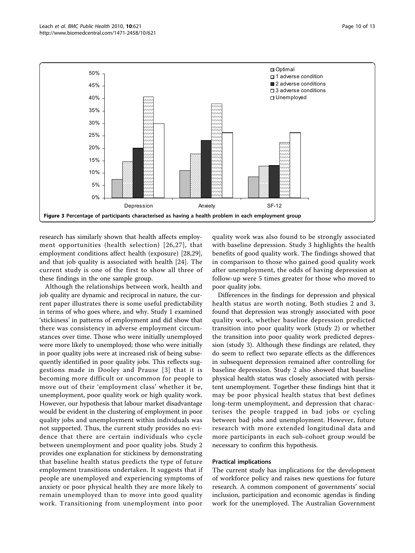<span id="page-9-0"></span>

research has similarly shown that health affects employment opportunities (health selection) [[26,27](#page-11-0)], that employment conditions affect health (exposure) [\[28,29](#page-11-0)], and that job quality is associated with health [[24\]](#page-11-0). The current study is one of the first to show all three of these findings in the one sample group.

Although the relationships between work, health and job quality are dynamic and reciprocal in nature, the current paper illustrates there is some useful predictability in terms of who goes where, and why. Study 1 examined 'stickiness' in patterns of employment and did show that there was consistency in adverse employment circumstances over time. Those who were initially unemployed were more likely to unemployed; those who were initially in poor quality jobs were at increased risk of being subsequently identified in poor quality jobs. This reflects suggestions made in Dooley and Prause [[3](#page-11-0)] that it is becoming more difficult or uncommon for people to move out of their 'employment class' whether it be, unemployment, poor quality work or high quality work. However, our hypothesis that labour market disadvantage would be evident in the clustering of employment in poor quality jobs and unemployment within individuals was not supported. Thus, the current study provides no evidence that there are certain individuals who cycle between unemployment and poor quality jobs. Study 2 provides one explanation for stickiness by demonstrating that baseline health status predicts the type of future employment transitions undertaken. It suggests that if people are unemployed and experiencing symptoms of anxiety or poor physical health they are more likely to remain unemployed than to move into good quality work. Transitioning from unemployment into poor

quality work was also found to be strongly associated with baseline depression. Study 3 highlights the health benefits of good quality work. The findings showed that in comparison to those who gained good quality work after unemployment, the odds of having depression at follow-up were 5 times greater for those who moved to poor quality jobs.

Differences in the findings for depression and physical health status are worth noting. Both studies 2 and 3, found that depression was strongly associated with poor quality work, whether baseline depression predicted transition into poor quality work (study 2) or whether the transition into poor quality work predicted depression (study 3). Although these findings are related, they do seem to reflect two separate effects as the differences in subsequent depression remained after controlling for baseline depression. Study 2 also showed that baseline physical health status was closely associated with persistent unemployment. Together these findings hint that it may be poor physical health status that best defines long-term unemployment, and depression that characterises the people trapped in bad jobs or cycling between bad jobs and unemployment. However, future research with more extended longitudinal data and more participants in each sub-cohort group would be necessary to confirm this hypothesis.

#### Practical implications

The current study has implications for the development of workforce policy and raises new questions for future research. A common component of governments' social inclusion, participation and economic agendas is finding work for the unemployed. The Australian Government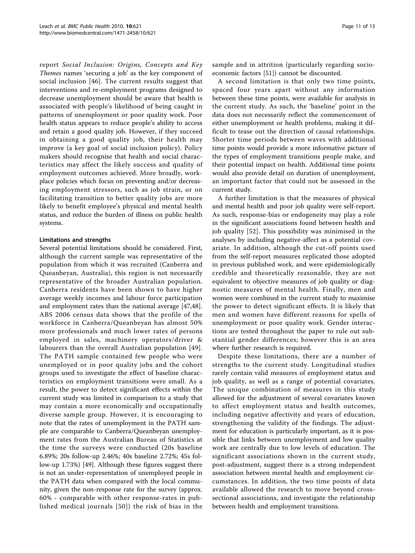report Social Inclusion: Origins, Concepts and Key Themes names 'securing a job' as the key component of social inclusion [[46](#page-12-0)]. The current results suggest that interventions and re-employment programs designed to decrease unemployment should be aware that health is associated with people's likelihood of being caught in patterns of unemployment or poor quality work. Poor health status appears to reduce people's ability to access and retain a good quality job. However, if they succeed in obtaining a good quality job, their health may improve (a key goal of social inclusion policy). Policy makers should recognise that health and social characteristics may affect the likely success and quality of employment outcomes achieved. More broadly, workplace policies which focus on preventing and/or decreasing employment stressors, such as job strain, or on facilitating transition to better quality jobs are more likely to benefit employee's physical and mental health status, and reduce the burden of illness on public health systems.

# Limitations and strengths

Several potential limitations should be considered. First, although the current sample was representative of the population from which it was recruited (Canberra and Queanbeyan, Australia), this region is not necessarily representative of the broader Australian population. Canberra residents have been shown to have higher average weekly incomes and labour force participation and employment rates than the national average [\[47,48](#page-12-0)]. ABS 2006 census data shows that the profile of the workforce in Canberra/Queanbeyan has almost 50% more professionals and much lower rates of persons employed in sales, machinery operators/driver & labourers than the overall Australian population [[49](#page-12-0)]. The PATH sample contained few people who were unemployed or in poor quality jobs and the cohort groups used to investigate the effect of baseline characteristics on employment transitions were small. As a result, the power to detect significant effects within the current study was limited in comparison to a study that may contain a more economically and occupationally diverse sample group. However, it is encouraging to note that the rates of unemployment in the PATH sample are comparable to Canberra/Queanbeyan unemployment rates from the Australian Bureau of Statistics at the time the surveys were conducted (20s baseline 6.89%; 20s follow-up 2.46%; 40s baseline 2.72%; 45s follow-up 1.73%) [[49\]](#page-12-0). Although these figures suggest there is not an under-representation of unemployed people in the PATH data when compared with the local community, given the non-response rate for the survey (approx. 60% - comparable with other response-rates in published medical journals [[50](#page-12-0)]) the risk of bias in the sample and in attrition (particularly regarding socioeconomic factors [[51\]](#page-12-0)) cannot be discounted.

A second limitation is that only two time points, spaced four years apart without any information between these time points, were available for analysis in the current study. As such, the 'baseline' point in the data does not necessarily reflect the commencement of either unemployment or health problems, making it difficult to tease out the direction of causal relationships. Shorter time periods between waves with additional time points would provide a more informative picture of the types of employment transitions people make, and their potential impact on health. Additional time points would also provide detail on duration of unemployment, an important factor that could not be assessed in the current study.

A further limitation is that the measures of physical and mental health and poor job quality were self-report. As such, response-bias or endogeneity may play a role in the significant associations found between health and job quality [[52\]](#page-12-0). This possibility was minimised in the analyses by including negative-affect as a potential covariate. In addition, although the cut-off points used from the self-report measures replicated those adopted in previous published work, and were epidemiologically credible and theoretically reasonable, they are not equivalent to objective measures of job quality or diagnostic measures of mental health. Finally, men and women were combined in the current study to maximise the power to detect significant effects. It is likely that men and women have different reasons for spells of unemployment or poor quality work. Gender interactions are tested throughout the paper to rule out substantial gender differences; however this is an area where further research is required.

Despite these limitations, there are a number of strengths to the current study. Longitudinal studies rarely contain valid measures of employment status and job quality, as well as a range of potential covariates. The unique combination of measures in this study allowed for the adjustment of several covariates known to affect employment status and health outcomes, including negative affectivity and years of education, strengthening the validity of the findings. The adjustment for education is particularly important, as it is possible that links between unemployment and low quality work are centrally due to low levels of education. The significant associations shown in the current study, post-adjustment, suggest there is a strong independent association between mental health and employment circumstances. In addition, the two time points of data available allowed the research to move beyond crosssectional associations, and investigate the relationship between health and employment transitions.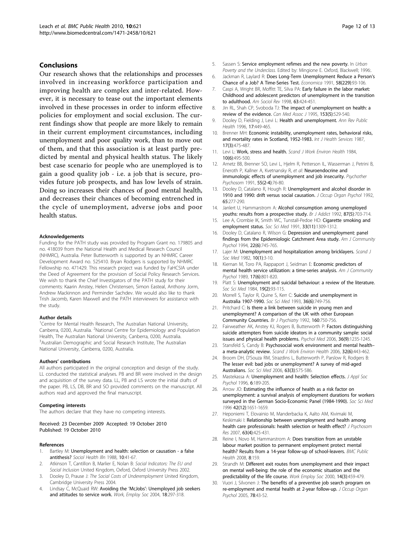#### <span id="page-11-0"></span>Conclusions

Our research shows that the relationships and processes involved in increasing workforce participation and improving health are complex and inter-related. However, it is necessary to tease out the important elements involved in these processes in order to inform effective policies for employment and social exclusion. The current findings show that people are more likely to remain in their current employment circumstances, including unemployment and poor quality work, than to move out of them, and that this association is at least partly predicted by mental and physical health status. The likely best case scenario for people who are unemployed is to gain a good quality job - i.e. a job that is secure, provides future job prospects, and has low levels of strain. Doing so increases their chances of good mental health, and decreases their chances of becoming entrenched in the cycle of unemployment, adverse jobs and poor health status.

#### Acknowledgements

Funding for the PATH study was provided by Program Grant no. 179805 and no. 418039 from the National Health and Medical Research Council (NHMRC), Australia. Peter Butterworth is supported by an NHMRC Career Development Award no. 525410. Bryan Rodgers is supported by NHMRC Fellowship no. 471429. This research project was funded by FaHCSIA under the Deed of Agreement for the provision of Social Policy Research Services. We wish to thank the Chief Investigators of the PATH study for their comments: Kaarin Anstey, Helen Christensen, Simon Easteal, Anthony Jorm, Andrew Mackinnon and Perminder Sachdev. We would also like to thank Trish Jacomb, Karen Maxwell and the PATH interviewers for assistance with the study.

#### Author details

<sup>1</sup> Centre for Mental Health Research, The Australian National University, Canberra, 0200, Australia. <sup>2</sup>National Centre for Epidemiology and Population Health, The Australian National University, Canberra, 0200, Australia. <sup>3</sup> Australian Demographic and Social Research Institute, The Australian National University, Canberra, 0200, Australia.

#### Authors' contributions

All authors participated in the original conception and design of the study. LL conducted the statistical analyses. PB and BR were involved in the design and acquisition of the survey data. LL, PB and LS wrote the initial drafts of the paper. PB, LS, DB, BR and SO provided comments on the manuscript. All authors read and approved the final manuscript.

#### Competing interests

The authors declare that they have no competing interests.

#### Received: 23 December 2009 Accepted: 19 October 2010 Published: 19 October 2010

#### References

- 1. Bartley M: Unemployment and health: selection or causation a false antithesis? Sociol Health Illn 1988, 10:41-67.
- Atkinson T, Cantillon B, Marlier E, Nolan B: Social Indicators: The EU and Social Inclusion United Kingdom, Oxford, Oxford University Press 2002.
- 3. Dooley D, Prause J: The Social Costs of Underemployment United Kingdom, Cambridge University Press 2004.
- 4. Lindsay C, McQuaid RW: Avoiding the 'McJobs': Unemployed job seekers and attitudes to service work. Work, Employ Soc 2004, 18:297-318.
- 5. Sassen S: Service employment refimes and the new poverty. In Urban Poverty and the Underclass. Edited by: Mingione E. Oxford, Blackwell; 1996:.
- 6. Jackman R, Laylard R: Does Long-Term Unemployment Reduce a Person's Chance of a Job? A Time-Series Test. Economica 1991, 58(229):93-106.
- 7. Caspi A, Wright BR, Moffitt TE, Silva PA: Early failure in the labor market: Childhood and adolescent predictors of unemployment in the transition to adulthood. Am Sociol Rev 1998, 63:424-451.
- 8. Jin RL, Shah CP, Svoboda TJ: The impact of unemployment on health: a review of the evidence. Can Med Assoc J 1995, 153(5):529-540.
- 9. Dooley D, Fielding J, Levi L: Health and unemployment. Ann Rev Public Health 1996, 17:449-465.
- 10. Brenner MH: Economic instability, unemployment rates, behavioral risks, and mortality rates in Scotland, 1952-1983. Int J Health Services 1987, 17(3):475-487.
- 11. Levi L: [Work, stress and health.](http://www.ncbi.nlm.nih.gov/pubmed/6535251?dopt=Abstract) Scand J Work Environ Health 1984, 10(6):495-500.
- 12. Arnetz BB, Brenner SO, Levi L, Hjelm R, Petterson IL, Wasserman J, Petrini B, Eneroth P, Kallner A, Kvetnansky R, et al: [Neuroendocrine and](http://www.ncbi.nlm.nih.gov/pubmed/1891571?dopt=Abstract) [immunologic effects of unemployment and job insecurity.](http://www.ncbi.nlm.nih.gov/pubmed/1891571?dopt=Abstract) Psychother Psychosom 1991, 55(2-4):76-80.
- 13. Dooley D, Catalano R, Hough R: Unemployment and alcohol disorder in 1910 and 1990: drift versus social causation. J Occup Organ Psychol 1992, 65:277-290.
- 14. Janlert U, Hammarstrom A: [Alcohol consumption among unemployed](http://www.ncbi.nlm.nih.gov/pubmed/1591521?dopt=Abstract) [youths: results from a prospective study.](http://www.ncbi.nlm.nih.gov/pubmed/1591521?dopt=Abstract) Br J Addict 1992, 87(5):703-714.
- 15. Lee A, Crombie IK, Smith WC, Tunstall-Pedoe HD: [Cigarette smoking and](http://www.ncbi.nlm.nih.gov/pubmed/1776044?dopt=Abstract) [employment status.](http://www.ncbi.nlm.nih.gov/pubmed/1776044?dopt=Abstract) Soc Sci Med 1991, 33(11):1309-1312.
- 16. Dooley D, Catalano R, Wilson G: [Depression and unemployment: panel](http://www.ncbi.nlm.nih.gov/pubmed/7639201?dopt=Abstract) [findings from the Epidemiologic Catchment Area study.](http://www.ncbi.nlm.nih.gov/pubmed/7639201?dopt=Abstract) Am J Community Psychol 1994, 22(6):745-765.
- 17. Lajer M: [Unemployment and hospitalization among bricklayers.](http://www.ncbi.nlm.nih.gov/pubmed/7112053?dopt=Abstract) Scand J Soc Med 1982, 10(1):3-10.
- 18. Kiernan M, Toro PA, Rappaport J, Seidman F; [Economic predictors of](http://www.ncbi.nlm.nih.gov/pubmed/2636540?dopt=Abstract) [mental health service utilization: a time-series analysis.](http://www.ncbi.nlm.nih.gov/pubmed/2636540?dopt=Abstract) Am J Community Psychol 1989, 17(6):801-820.
- 19. Platt S: [Unemployment and suicidal behaviour: a review of the literature.](http://www.ncbi.nlm.nih.gov/pubmed/6382623?dopt=Abstract) Soc Sci Med 1984, 19(2):93-115.
- 20. Morrell S, Taylor R, Quine S, Kerr C: [Suicide and unemployment in](http://www.ncbi.nlm.nih.gov/pubmed/8480219?dopt=Abstract) [Australia 1907-1990.](http://www.ncbi.nlm.nih.gov/pubmed/8480219?dopt=Abstract) Soc Sci Med 1993, 36(6):749-756.
- 21. Pritchard C: [Is there a link between suicide in young men and](http://www.ncbi.nlm.nih.gov/pubmed/1617355?dopt=Abstract) [unemployment? A comparison of the UK with other European](http://www.ncbi.nlm.nih.gov/pubmed/1617355?dopt=Abstract) [Community Countries.](http://www.ncbi.nlm.nih.gov/pubmed/1617355?dopt=Abstract) Br J Psychiatry 1992, 160:750-756.
- 22. Fairweather AK, Anstey KJ, Rogers B, Butterworth P: [Factors distinguishing](http://www.ncbi.nlm.nih.gov/pubmed/16734946?dopt=Abstract) [suicide attempters from suicide ideators in a community sample: social](http://www.ncbi.nlm.nih.gov/pubmed/16734946?dopt=Abstract) [issues and physical health problems.](http://www.ncbi.nlm.nih.gov/pubmed/16734946?dopt=Abstract) Psychol Med 2006, 36(9):1235-1245.
- 23. Stansfeld S, Candy B: [Psychosocial work environment and mental health](http://www.ncbi.nlm.nih.gov/pubmed/17173201?dopt=Abstract)[a meta-analytic review.](http://www.ncbi.nlm.nih.gov/pubmed/17173201?dopt=Abstract) Scand J Work Environ Health 2006, 32(6):443-462.
- 24. Broom DH, D'Souza RM, Strazdins L, Butterworth P, Parslow R, Rodgers B: [The lesser evil: bad jobs or unemployment? A survey of mid-aged](http://www.ncbi.nlm.nih.gov/pubmed/16597477?dopt=Abstract) [Australians.](http://www.ncbi.nlm.nih.gov/pubmed/16597477?dopt=Abstract) Soc Sci Med 2006, 63(3):575-586.
- 25. Mastekassa A: Unemployment and health: Selection effects. J Appl Soc Psychol 1996, 6:189-205.
- 26. Arrow JO: Estimating the influence of health as a risk factor on unemployment: a survival analysis of employment durations for workers surveyed in the German Socio-Economic Panel (1984-1990). Soc Sci Med 1996 42(12):1651-1659.
- 27. Heponiemi T, Elovainio M, Manderbacka K, Aalto AM, Kivimaki M, Keskimaki I: [Relationship between unemployment and health among](http://www.ncbi.nlm.nih.gov/pubmed/17905052?dopt=Abstract) [health care professionals: health selection or health effect?](http://www.ncbi.nlm.nih.gov/pubmed/17905052?dopt=Abstract) J Psychosom Res 2007, 63(4):425-431.
- 28. Reine I, Novo M, Hammarstrom A: [Does transition from an unstable](http://www.ncbi.nlm.nih.gov/pubmed/18477384?dopt=Abstract) [labour market position to permanent employment protect mental](http://www.ncbi.nlm.nih.gov/pubmed/18477384?dopt=Abstract) [health? Results from a 14-year follow-up of school-leavers.](http://www.ncbi.nlm.nih.gov/pubmed/18477384?dopt=Abstract) BMC Public Health 2008, 8:159.
- 29. Strandh M: Different exit routes from unemployment and their impact on mental well-being: the role of the economic situation and the predictability of the life course. Work Employ Soc 2000, 14(3):459-479.
- Vuori J, Silvonen J: The benefits of a preventive job search program on re-employment and mental health at 2-year follow-up. J Occup Organ Psychol 2005, 78:43-52.